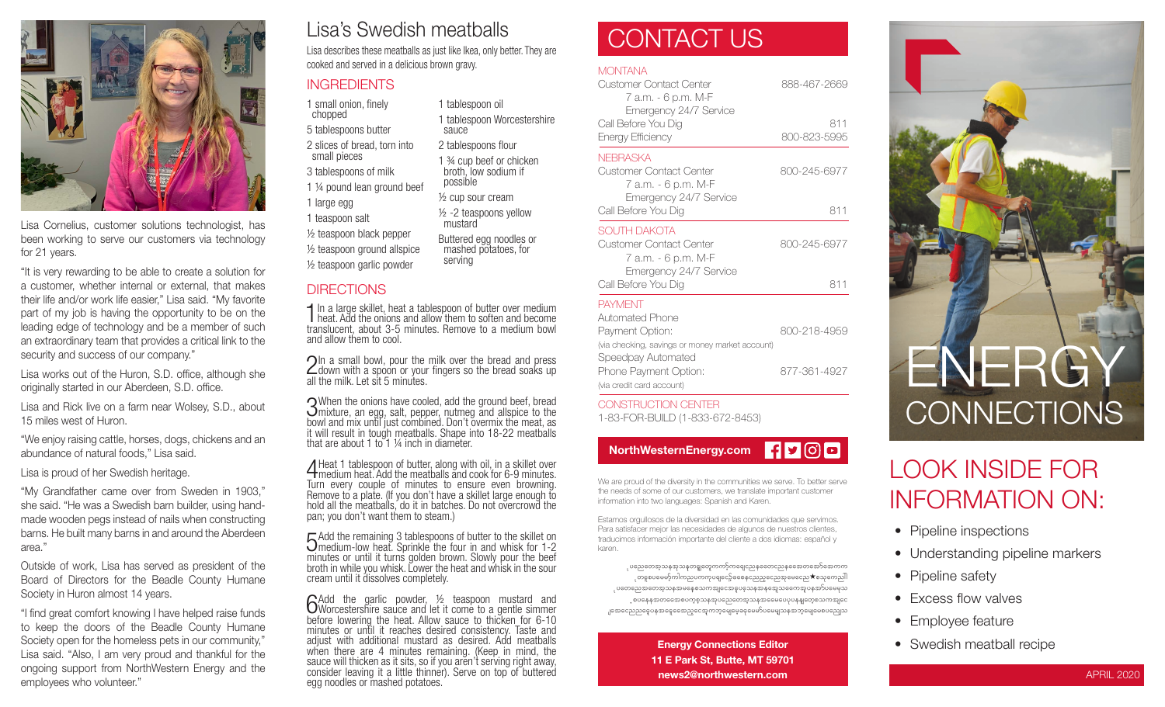

Lisa Cornelius, customer solutions technologist, has been working to serve our customers via technology for 21 years.

"It is very rewarding to be able to create a solution for a customer, whether internal or external, that makes their life and/or work life easier," Lisa said. "My favorite part of my job is having the opportunity to be on the leading edge of technology and be a member of such an extraordinary team that provides a critical link to the security and success of our company."

Lisa works out of the Huron, S.D. office, although she originally started in our Aberdeen, S.D. office.

Lisa and Rick live on a farm near Wolsey, S.D., about 15 miles west of Huron.

"We enjoy raising cattle, horses, dogs, chickens and an abundance of natural foods," Lisa said.

Lisa is proud of her Swedish heritage.

"My Grandfather came over from Sweden in 1903," she said. "He was a Swedish barn builder, using handmade wooden pegs instead of nails when constructing barns. He built many barns in and around the Aberdeen area."

Outside of work, Lisa has served as president of the Board of Directors for the Beadle County Humane Society in Huron almost 14 years.

"I find great comfort knowing I have helped raise funds to keep the doors of the Beadle County Humane Society open for the homeless pets in our community," Lisa said. "Also, I am very proud and thankful for the ongoing support from NorthWestern Energy and the employees who volunteer."

### Lisa's Swedish meatballs

Lisa describes these meatballs as just like Ikea, only better. They are cooked and served in a delicious brown gravy.

1 tablespoon oil

2 tablespoons flour 1 ¾ cup beef or chicken broth, low sodium if

Buttered egg noodles or mashed potatoes, for

sauce

possible ½ cup sour cream ½ -2 teaspoons yellow

mustard

serving

1 tablespoon Worcestershire

### **INGREDIENTS**

1 small onion, finely chopped

5 tablespoons butter

2 slices of bread, torn into small pieces

3 tablespoons of milk

1 ¼ pound lean ground beef 1 large egg

1 teaspoon salt

½ teaspoon black pepper

½ teaspoon ground allspice

½ teaspoon garlic powder

#### **DIRECTIONS**

1 In a large skillet, heat a tablespoon of butter over medium heat. Add the onions and allow them to soften and become translucent, about 3-5 minutes. Remove to a medium bowl and allow them to cool.

2In a small bowl, pour the milk over the bread and press<br>down with a spoon or your fingers so the bread soaks up all the milk. Let sit 5 minutes.

3 When the onions have cooled, add the ground beef, bread mixture, an egg, salt, pepper, nutmeg and allspice to the bowl and mix until just combined. Don't overmix the meat, as it will result in tough meatballs. Shape into 18-22 meatballs that are about 1 to 1 ¼ inch in diameter.

4 Heat 1 tablespoon of butter, along with oil, in a skillet over medium heat. Add the meatballs and cook for 6-9 minutes. Turn every couple of minutes to ensure even browning. Remove to a plate. (If you don't have a skillet large enough to hold all the meatballs, do it in batches. Do not overcrowd the pan; you don't want them to steam.)

5 Add the remaining 3 tablespoons of butter to the skillet on<br>5 medium-low heat. Sprinkle the four in and whisk for 1-2 medium-low heat. Sprinkle the four in and whisk for 1-2 minutes or until it turns golden brown. Slowly pour the beef broth in while you whisk. Lower the heat and whisk in the sour cream until it dissolves completely.

GAdd the garlic powder, 1/2 teaspoon mustard and UNorcestershire sauce and let it come to a gentle simmer before lowering the heat. Allow sauce to thicken for 6-10 minutes or until it reaches desired consistency. Taste and adjust with additional mustard as desired. Add meatballs when there are 4 minutes remaining. (Keep in mind, the sauce will thicken as it sits, so if you aren't serving right away, consider leaving it a little thinner). Serve on top of buttered egg noodles or mashed potatoes.

### CONTACT US

#### **MONTANA**

| <b>Customer Contact Center</b><br>7 a.m. - 6 p.m. M-F                                       | 888-467-2669        |
|---------------------------------------------------------------------------------------------|---------------------|
| Emergency 24/7 Service<br>Call Before You Dig<br><b>Energy Efficiency</b>                   | 811<br>800-823-5995 |
| <b>NEBRASKA</b><br>Customer Contact Center<br>7 а.т. - 6 p.m. М-F<br>Emergency 24/7 Service | 800-245-6977        |
| Call Before You Dig                                                                         | 811                 |
| SOUTH DAKOTA<br>Customer Contact Center<br>7 a.m. - 6 p.m. M-F                              | 800-245-6977        |
| Emergency 24/7 Service<br>Call Before You Dig                                               | 811                 |
| <b>PAYMENT</b><br>Automated Phone                                                           |                     |
| Payment Option:<br>(via checking, savings or money market account)<br>Speedpay Automated    | 800-218-4959        |
| Phone Pavment Option:                                                                       | 877-361-4927        |

(via credit card account) CONSTRUCTION CENTER

1-83-FOR-BUILD (1-833-672-8453)



We are proud of the diversity in the communities we serve. To better serve the needs of some of our customers, we translate important customer information into two languages: Spanish and Karen.

Estamos orgullosos de la diversidad en las comunidades que servimos. Para satisfacer mejor las necesidades de algunos de nuestros clientes, traducimos información importante del cliente a dos idiomas: español y karen.

ုပညေတေအူသနအသနတဓူုတှေကကဉ့်ကရေုငညနတေေငညနအေေတအော်အောကက ုတစူစပမေမာ့်ကါကညပကကုပရျငော့်ခစေနှငညည့္ေညအုမေငေည $\bigstar$ စသုကေညါါ ုပတေညေအတေအ့သနအမနေ့စသကအျငေအဓူပဓုသနအနအေူသကေေအူပနအာ်ပမေမှသ ့စပနေနအတစေေစပက္စစ္သာနအုပညေတေအ့သနအဓေမပေပုပနနျတေ့စသကအျငေ .<br>ဒါအေငေညညနေပနအနေ့နေအေည့်ငွေအကာာ့မျေမှေ့ခနမေမှာ်ပမေမျသနအဘဲ့မျေမေစပညျေသ

> Energy Connections Editor 11 E Park St, Butte, MT 59701 news2@northwestern.com



### LOOK INSIDE FOR INFORMATION ON:

- Pipeline inspections
- Understanding pipeline markers
- Pipeline safety
- Excess flow valves
- Employee feature
- Swedish meatball recipe